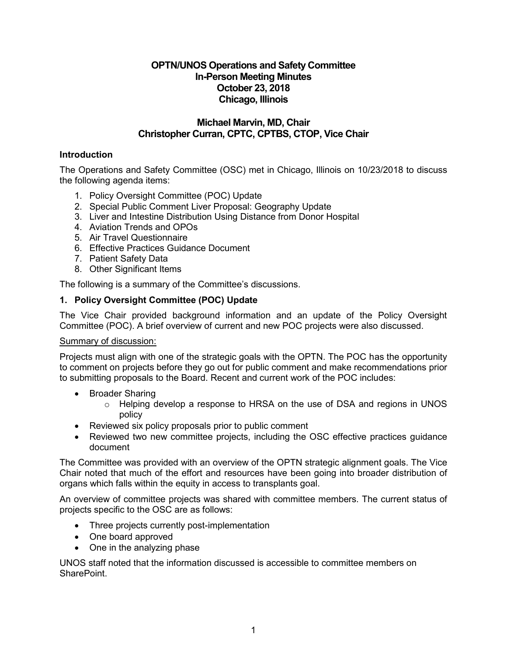# **OPTN/UNOS Operations and Safety Committee In-Person Meeting Minutes October 23, 2018 Chicago, Illinois**

## **Michael Marvin, MD, Chair Christopher Curran, CPTC, CPTBS, CTOP, Vice Chair**

# **Introduction**

The Operations and Safety Committee (OSC) met in Chicago, Illinois on 10/23/2018 to discuss the following agenda items:

- 1. Policy Oversight Committee (POC) Update
- 2. Special Public Comment Liver Proposal: Geography Update
- 3. Liver and Intestine Distribution Using Distance from Donor Hospital
- 4. Aviation Trends and OPOs
- 5. Air Travel Questionnaire
- 6. Effective Practices Guidance Document
- 7. Patient Safety Data
- 8. Other Significant Items

The following is a summary of the Committee's discussions.

### **1. Policy Oversight Committee (POC) Update**

The Vice Chair provided background information and an update of the Policy Oversight Committee (POC). A brief overview of current and new POC projects were also discussed.

#### Summary of discussion:

Projects must align with one of the strategic goals with the OPTN. The POC has the opportunity to comment on projects before they go out for public comment and make recommendations prior to submitting proposals to the Board. Recent and current work of the POC includes:

- Broader Sharing
	- o Helping develop a response to HRSA on the use of DSA and regions in UNOS policy
- Reviewed six policy proposals prior to public comment
- Reviewed two new committee projects, including the OSC effective practices guidance document

The Committee was provided with an overview of the OPTN strategic alignment goals. The Vice Chair noted that much of the effort and resources have been going into broader distribution of organs which falls within the equity in access to transplants goal.

An overview of committee projects was shared with committee members. The current status of projects specific to the OSC are as follows:

- Three projects currently post-implementation
- One board approved
- One in the analyzing phase

UNOS staff noted that the information discussed is accessible to committee members on SharePoint.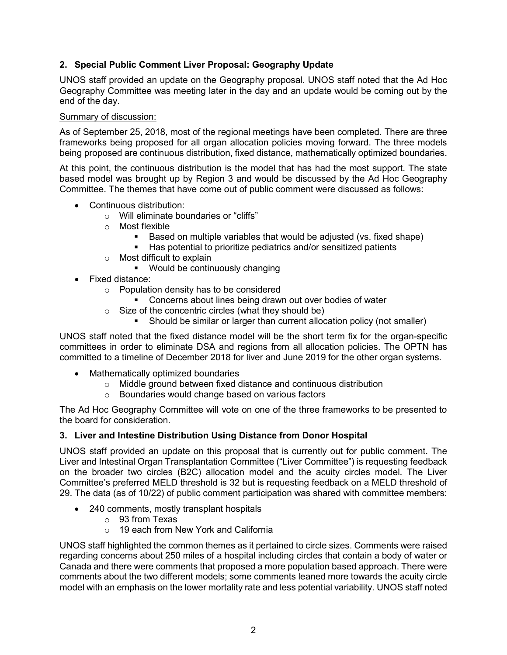# **2. Special Public Comment Liver Proposal: Geography Update**

UNOS staff provided an update on the Geography proposal. UNOS staff noted that the Ad Hoc Geography Committee was meeting later in the day and an update would be coming out by the end of the day.

### Summary of discussion:

As of September 25, 2018, most of the regional meetings have been completed. There are three frameworks being proposed for all organ allocation policies moving forward. The three models being proposed are continuous distribution, fixed distance, mathematically optimized boundaries.

At this point, the continuous distribution is the model that has had the most support. The state based model was brought up by Region 3 and would be discussed by the Ad Hoc Geography Committee. The themes that have come out of public comment were discussed as follows:

- Continuous distribution:
	- o Will eliminate boundaries or "cliffs"
	- o Most flexible
		- Based on multiple variables that would be adjusted (vs. fixed shape)
		- Has potential to prioritize pediatrics and/or sensitized patients
	- o Most difficult to explain
		- **Would be continuously changing**
- Fixed distance:
	- o Population density has to be considered
		- Concerns about lines being drawn out over bodies of water
	- o Size of the concentric circles (what they should be)
		- Should be similar or larger than current allocation policy (not smaller)

UNOS staff noted that the fixed distance model will be the short term fix for the organ-specific committees in order to eliminate DSA and regions from all allocation policies. The OPTN has committed to a timeline of December 2018 for liver and June 2019 for the other organ systems.

- Mathematically optimized boundaries
	- o Middle ground between fixed distance and continuous distribution
	- o Boundaries would change based on various factors

The Ad Hoc Geography Committee will vote on one of the three frameworks to be presented to the board for consideration.

### **3. Liver and Intestine Distribution Using Distance from Donor Hospital**

UNOS staff provided an update on this proposal that is currently out for public comment. The Liver and Intestinal Organ Transplantation Committee ("Liver Committee") is requesting feedback on the broader two circles (B2C) allocation model and the acuity circles model. The Liver Committee's preferred MELD threshold is 32 but is requesting feedback on a MELD threshold of 29. The data (as of 10/22) of public comment participation was shared with committee members:

- 240 comments, mostly transplant hospitals
	- o 93 from Texas
	- o 19 each from New York and California

UNOS staff highlighted the common themes as it pertained to circle sizes. Comments were raised regarding concerns about 250 miles of a hospital including circles that contain a body of water or Canada and there were comments that proposed a more population based approach. There were comments about the two different models; some comments leaned more towards the acuity circle model with an emphasis on the lower mortality rate and less potential variability. UNOS staff noted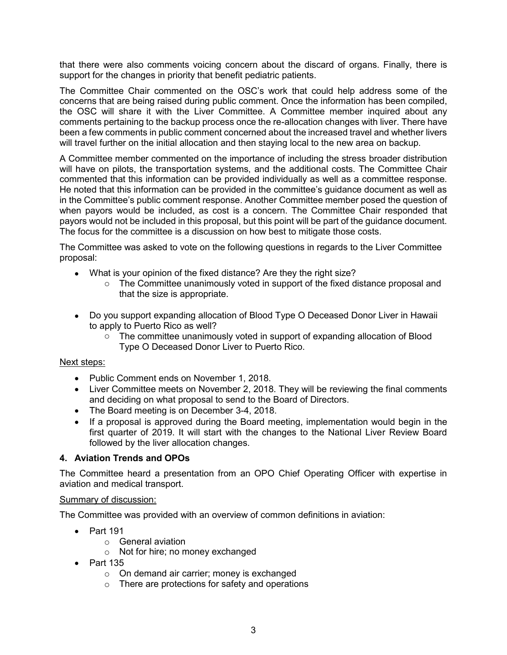that there were also comments voicing concern about the discard of organs. Finally, there is support for the changes in priority that benefit pediatric patients.

The Committee Chair commented on the OSC's work that could help address some of the concerns that are being raised during public comment. Once the information has been compiled, the OSC will share it with the Liver Committee. A Committee member inquired about any comments pertaining to the backup process once the re-allocation changes with liver. There have been a few comments in public comment concerned about the increased travel and whether livers will travel further on the initial allocation and then staying local to the new area on backup.

A Committee member commented on the importance of including the stress broader distribution will have on pilots, the transportation systems, and the additional costs. The Committee Chair commented that this information can be provided individually as well as a committee response. He noted that this information can be provided in the committee's guidance document as well as in the Committee's public comment response. Another Committee member posed the question of when payors would be included, as cost is a concern. The Committee Chair responded that payors would not be included in this proposal, but this point will be part of the guidance document. The focus for the committee is a discussion on how best to mitigate those costs.

The Committee was asked to vote on the following questions in regards to the Liver Committee proposal:

- What is your opinion of the fixed distance? Are they the right size?
	- $\circ$  The Committee unanimously voted in support of the fixed distance proposal and that the size is appropriate.
- Do you support expanding allocation of Blood Type O Deceased Donor Liver in Hawaii to apply to Puerto Rico as well?
	- o The committee unanimously voted in support of expanding allocation of Blood Type O Deceased Donor Liver to Puerto Rico.

#### Next steps:

- Public Comment ends on November 1, 2018.
- Liver Committee meets on November 2, 2018. They will be reviewing the final comments and deciding on what proposal to send to the Board of Directors.
- The Board meeting is on December 3-4, 2018.
- If a proposal is approved during the Board meeting, implementation would begin in the first quarter of 2019. It will start with the changes to the National Liver Review Board followed by the liver allocation changes.

#### **4. Aviation Trends and OPOs**

The Committee heard a presentation from an OPO Chief Operating Officer with expertise in aviation and medical transport.

#### Summary of discussion:

The Committee was provided with an overview of common definitions in aviation:

- Part 191
	- o General aviation
	- o Not for hire; no money exchanged
- $\bullet$  Part 135
	- o On demand air carrier; money is exchanged
	- o There are protections for safety and operations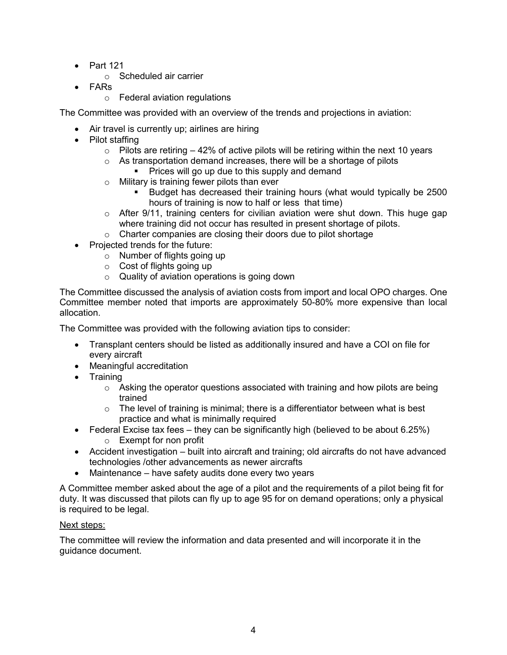- $\bullet$  Part 121
	- o Scheduled air carrier
- FARs
	- o Federal aviation regulations

The Committee was provided with an overview of the trends and projections in aviation:

- Air travel is currently up; airlines are hiring
- Pilot staffing
	- $\circ$  Pilots are retiring  $-42\%$  of active pilots will be retiring within the next 10 years
	- $\circ$  As transportation demand increases, there will be a shortage of pilots
		- Prices will go up due to this supply and demand
	- o Military is training fewer pilots than ever
		- **Budget has decreased their training hours (what would typically be 2500** hours of training is now to half or less that time)
	- $\circ$  After 9/11, training centers for civilian aviation were shut down. This huge gap where training did not occur has resulted in present shortage of pilots.
	- $\circ$  Charter companies are closing their doors due to pilot shortage
- Projected trends for the future:
	- o Number of flights going up
	- o Cost of flights going up
	- o Quality of aviation operations is going down

The Committee discussed the analysis of aviation costs from import and local OPO charges. One Committee member noted that imports are approximately 50-80% more expensive than local allocation.

The Committee was provided with the following aviation tips to consider:

- Transplant centers should be listed as additionally insured and have a COI on file for every aircraft
- Meaningful accreditation
- Training
	- $\circ$  Asking the operator questions associated with training and how pilots are being trained
	- $\circ$  The level of training is minimal; there is a differentiator between what is best practice and what is minimally required
- Federal Excise tax fees they can be significantly high (believed to be about  $6.25\%$ )
	- o Exempt for non profit
- Accident investigation built into aircraft and training; old aircrafts do not have advanced technologies /other advancements as newer aircrafts
- Maintenance have safety audits done every two years

A Committee member asked about the age of a pilot and the requirements of a pilot being fit for duty. It was discussed that pilots can fly up to age 95 for on demand operations; only a physical is required to be legal.

# Next steps:

The committee will review the information and data presented and will incorporate it in the guidance document.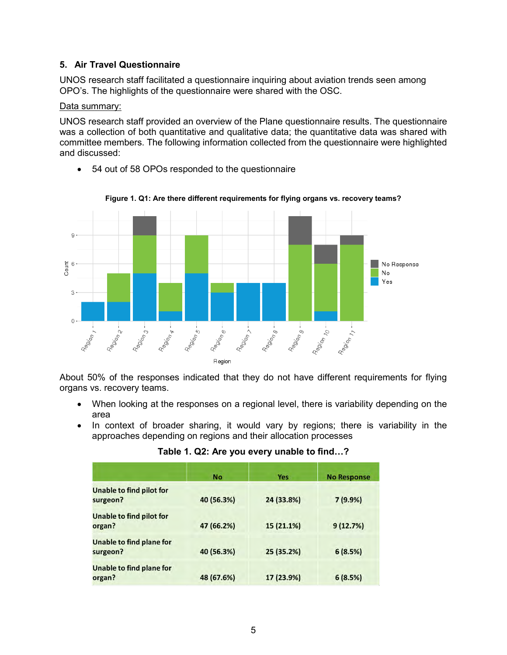## **5. Air Travel Questionnaire**

UNOS research staff facilitated a questionnaire inquiring about aviation trends seen among OPO's. The highlights of the questionnaire were shared with the OSC.

### Data summary:

UNOS research staff provided an overview of the Plane questionnaire results. The questionnaire was a collection of both quantitative and qualitative data; the quantitative data was shared with committee members. The following information collected from the questionnaire were highlighted and discussed:

54 out of 58 OPOs responded to the questionnaire



**Figure 1. Q1: Are there different requirements for flying organs vs. recovery teams?**

About 50% of the responses indicated that they do not have different requirements for flying organs vs. recovery teams.

- When looking at the responses on a regional level, there is variability depending on the area
- In context of broader sharing, it would vary by regions; there is variability in the approaches depending on regions and their allocation processes

| Table 1. Q2: Are you every unable to find? |
|--------------------------------------------|
|                                            |

|                                             | <b>No</b>  | Yes        | <b>No Response</b> |
|---------------------------------------------|------------|------------|--------------------|
| <b>Unable to find pilot for</b><br>surgeon? | 40 (56.3%) | 24 (33.8%) | $7(9.9\%)$         |
| <b>Unable to find pilot for</b><br>organ?   | 47 (66.2%) | 15 (21.1%) | 9(12.7%)           |
| Unable to find plane for<br>surgeon?        | 40 (56.3%) | 25 (35.2%) | 6(8.5%)            |
| <b>Unable to find plane for</b><br>organ?   | 48 (67.6%) | 17 (23.9%) | 6(8.5%)            |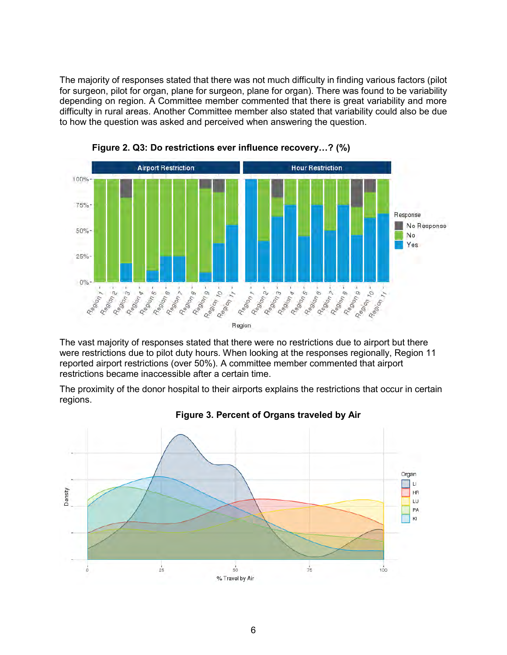The majority of responses stated that there was not much difficulty in finding various factors (pilot for surgeon, pilot for organ, plane for surgeon, plane for organ). There was found to be variability depending on region. A Committee member commented that there is great variability and more difficulty in rural areas. Another Committee member also stated that variability could also be due to how the question was asked and perceived when answering the question.



**Figure 2. Q3: Do restrictions ever influence recovery…? (%)**

The vast majority of responses stated that there were no restrictions due to airport but there were restrictions due to pilot duty hours. When looking at the responses regionally, Region 11 reported airport restrictions (over 50%). A committee member commented that airport restrictions became inaccessible after a certain time.

The proximity of the donor hospital to their airports explains the restrictions that occur in certain regions.



### **Figure 3. Percent of Organs traveled by Air**

6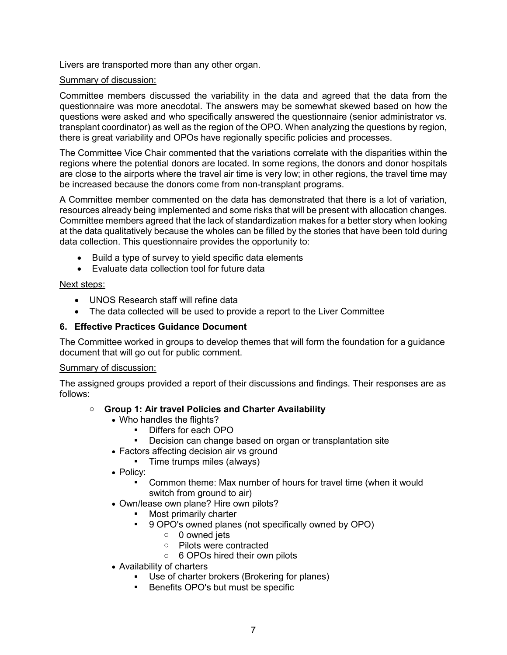Livers are transported more than any other organ.

### Summary of discussion:

Committee members discussed the variability in the data and agreed that the data from the questionnaire was more anecdotal. The answers may be somewhat skewed based on how the questions were asked and who specifically answered the questionnaire (senior administrator vs. transplant coordinator) as well as the region of the OPO. When analyzing the questions by region, there is great variability and OPOs have regionally specific policies and processes.

The Committee Vice Chair commented that the variations correlate with the disparities within the regions where the potential donors are located. In some regions, the donors and donor hospitals are close to the airports where the travel air time is very low; in other regions, the travel time may be increased because the donors come from non-transplant programs.

A Committee member commented on the data has demonstrated that there is a lot of variation, resources already being implemented and some risks that will be present with allocation changes. Committee members agreed that the lack of standardization makes for a better story when looking at the data qualitatively because the wholes can be filled by the stories that have been told during data collection. This questionnaire provides the opportunity to:

- Build a type of survey to yield specific data elements
- Evaluate data collection tool for future data

#### Next steps:

- UNOS Research staff will refine data
- The data collected will be used to provide a report to the Liver Committee

### **6. Effective Practices Guidance Document**

The Committee worked in groups to develop themes that will form the foundation for a guidance document that will go out for public comment.

#### Summary of discussion:

The assigned groups provided a report of their discussions and findings. Their responses are as follows:

### o **Group 1: Air travel Policies and Charter Availability**

- Who handles the flights?
	- Differs for each OPO
	- Decision can change based on organ or transplantation site
- Factors affecting decision air vs ground
	- **Time trumps miles (always)**
- Policy:
	- Common theme: Max number of hours for travel time (when it would switch from ground to air)
- Own/lease own plane? Hire own pilots?
	- Most primarily charter
	- 9 OPO's owned planes (not specifically owned by OPO)
		- $\circ$  0 owned jets
		- o Pilots were contracted
		- o 6 OPOs hired their own pilots
- Availability of charters
	- Use of charter brokers (Brokering for planes)
	- **Benefits OPO's but must be specific**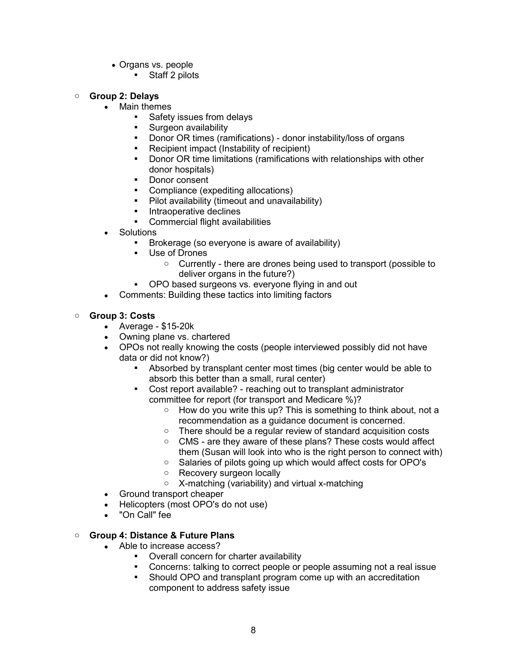- Organs vs. people
	- Staff 2 pilots

#### o **Group 2: Delays**

- Main themes
	- Safety issues from delays
	- Surgeon availability
	- Donor OR times (ramifications) donor instability/loss of organs
	- Recipient impact (Instability of recipient)<br>Donor OR time limitations (ramifications v
	- Donor OR time limitations (ramifications with relationships with other donor hospitals)
	- Donor consent
	- Compliance (expediting allocations)
	- Pilot availability (timeout and unavailability)
	- **Intraoperative declines**
	- Commercial flight availabilities
- **Solutions** 
	- Brokerage (so everyone is aware of availability)
	- Use of Drones
		- $\circ$  Currently there are drones being used to transport (possible to deliver organs in the future?)
	- OPO based surgeons vs. everyone flying in and out
- Comments: Building these tactics into limiting factors

#### o **Group 3: Costs**

- Average \$15-20k
- Owning plane vs. chartered
- OPOs not really knowing the costs (people interviewed possibly did not have data or did not know?)
	- Absorbed by transplant center most times (big center would be able to absorb this better than a small, rural center)
	- Cost report available? reaching out to transplant administrator committee for report (for transport and Medicare %)?
		- o How do you write this up? This is something to think about, not a recommendation as a guidance document is concerned.
		- o There should be a regular review of standard acquisition costs
		- o CMS are they aware of these plans? These costs would affect them (Susan will look into who is the right person to connect with)
		- o Salaries of pilots going up which would affect costs for OPO's
		- o Recovery surgeon locally
		- o X-matching (variability) and virtual x-matching
- Ground transport cheaper
- Helicopters (most OPO's do not use)
- "On Call" fee

#### o **Group 4: Distance & Future Plans**

- Able to increase access?
	- **•** Overall concern for charter availability
	- Concerns: talking to correct people or people assuming not a real issue
	- Should OPO and transplant program come up with an accreditation component to address safety issue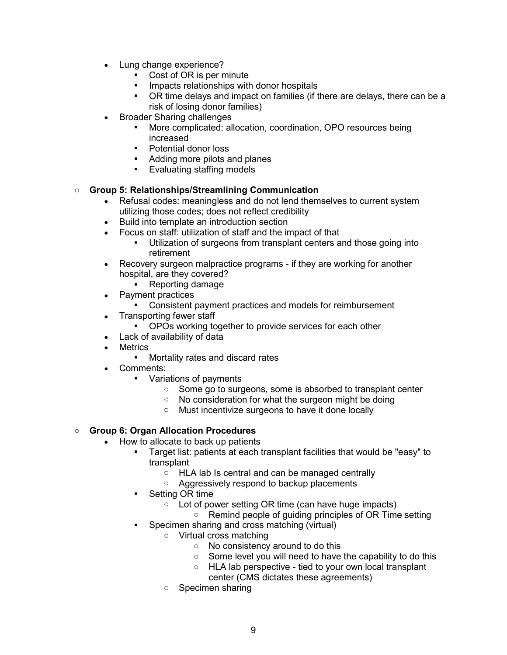- Lung change experience?
	- Cost of OR is per minute
	- Impacts relationships with donor hospitals
	- OR time delays and impact on families (if there are delays, there can be a risk of losing donor families)
- Broader Sharing challenges
	- More complicated: allocation, coordination, OPO resources being increased
	- Potential donor loss
	- Adding more pilots and planes
	- **Evaluating staffing models**

### o **Group 5: Relationships/Streamlining Communication**

- Refusal codes: meaningless and do not lend themselves to current system utilizing those codes; does not reflect credibility
- Build into template an introduction section
- Focus on staff: utilization of staff and the impact of that
	- Utilization of surgeons from transplant centers and those going into retirement
- Recovery surgeon malpractice programs if they are working for another hospital, are they covered?
	- Reporting damage
- Payment practices
	- Consistent payment practices and models for reimbursement
- Transporting fewer staff
	- OPOs working together to provide services for each other
- Lack of availability of data
- **Metrics** 
	- Mortality rates and discard rates
- Comments:
	- Variations of payments
		- Some go to surgeons, some is absorbed to transplant center
		- $\circ$  No consideration for what the surgeon might be doing
		- o Must incentivize surgeons to have it done locally

### o **Group 6: Organ Allocation Procedures**

- How to allocate to back up patients
	- Target list: patients at each transplant facilities that would be "easy" to transplant
		- HLA lab Is central and can be managed centrally
		- o Aggressively respond to backup placements
	- Setting OR time
		- o Lot of power setting OR time (can have huge impacts)
			- o Remind people of guiding principles of OR Time setting
	- Specimen sharing and cross matching (virtual)
		- o Virtual cross matching
			- o No consistency around to do this
			- Some level you will need to have the capability to do this
			- o HLA lab perspective tied to your own local transplant
			- center (CMS dictates these agreements)
		- o Specimen sharing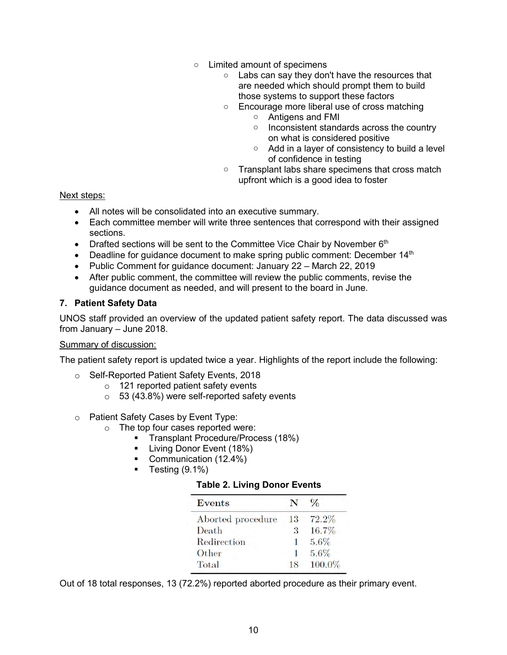- o Limited amount of specimens
	- o Labs can say they don't have the resources that are needed which should prompt them to build those systems to support these factors
	- o Encourage more liberal use of cross matching
		- o Antigens and FMI
		- o Inconsistent standards across the country on what is considered positive
		- o Add in a layer of consistency to build a level of confidence in testing
	- o Transplant labs share specimens that cross match upfront which is a good idea to foster

### Next steps:

- All notes will be consolidated into an executive summary.
- Each committee member will write three sentences that correspond with their assigned sections.
- Drafted sections will be sent to the Committee Vice Chair by November  $6<sup>th</sup>$
- **•** Deadline for guidance document to make spring public comment: December  $14<sup>th</sup>$
- Public Comment for quidance document: January 22 March 22, 2019
- After public comment, the committee will review the public comments, revise the guidance document as needed, and will present to the board in June.

# **7. Patient Safety Data**

UNOS staff provided an overview of the updated patient safety report. The data discussed was from January – June 2018.

### Summary of discussion:

The patient safety report is updated twice a year. Highlights of the report include the following:

- o Self-Reported Patient Safety Events, 2018
	- o 121 reported patient safety events
	- $\circ$  53 (43.8%) were self-reported safety events
- o Patient Safety Cases by Event Type:
	- o The top four cases reported were:
		- **Transplant Procedure/Process (18%)**
		- **Living Donor Event (18%)**
		- Communication (12.4%)
		- $\blacksquare$  Testing (9.1%)

### **Table 2. Living Donor Events**

| <b>Events</b>     |    | $\%$   |
|-------------------|----|--------|
| Aborted procedure | 13 | 72.2%  |
| Death             | 3  | 16.7%  |
| Redirection       | 1  | 5.6%   |
| Other             |    | 5.6%   |
| Total             | 18 | 100.0% |

Out of 18 total responses, 13 (72.2%) reported aborted procedure as their primary event.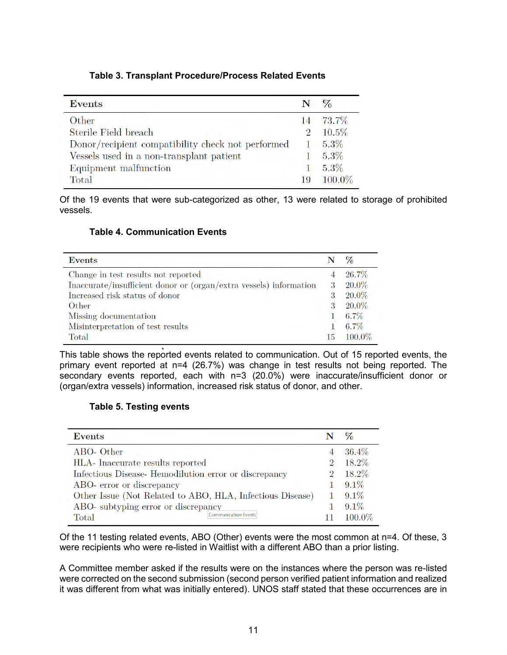|  |  | Table 3. Transplant Procedure/Process Related Events |  |
|--|--|------------------------------------------------------|--|
|--|--|------------------------------------------------------|--|

| <b>Events</b>                                     |          | $\frac{6}{2}$ |
|---------------------------------------------------|----------|---------------|
| Other                                             | 14.      | 73.7%         |
| Sterile Field breach                              | $\Omega$ | 10.5%         |
| Donor/recipient compatibility check not performed |          | 5.3%          |
| Vessels used in a non-transplant patient          |          | 5.3%          |
| Equipment malfunction                             |          | 5.3%          |
| Total                                             | 19       | 100.0%        |

Of the 19 events that were sub-categorized as other, 13 were related to storage of prohibited vessels.

# **Table 4. Communication Events**

| <b>Events</b>                                                      |    | $\%$    |
|--------------------------------------------------------------------|----|---------|
| Change in test results not reported                                |    | 26.7%   |
| Inaccurate/insufficient donor or (organ/extra vessels) information | 3  | 20.0%   |
| Increased risk status of donor                                     | 3  | 20.0%   |
| Other                                                              | 3  | 20.0%   |
| Missing documentation                                              |    | $6.7\%$ |
| Misinterpretation of test results                                  |    | $6.7\%$ |
| Total                                                              | 15 | 100.0%  |

This table shows the reported events related to communication. Out of 15 reported events, the primary event reported at n=4 (26.7%) was change in test results not being reported. The secondary events reported, each with n=3 (20.0%) were inaccurate/insufficient donor or (organ/extra vessels) information, increased risk status of donor, and other.

### **Table 5. Testing events**

| <b>Events</b>                                             |                             |   |         |
|-----------------------------------------------------------|-----------------------------|---|---------|
| ABO-Other                                                 |                             |   | 36.4%   |
| HLA- Inaccurate results reported                          |                             | 2 | 18.2%   |
| Infectious Disease- Hemodilution error or discrepancy     |                             |   | 18.2%   |
| ABO- error or discrepancy                                 |                             |   | $9.1\%$ |
| Other Issue (Not Related to ABO, HLA, Infectious Disease) |                             |   | $9.1\%$ |
| ABO- subtyping error or discrepancy                       |                             |   | $9.1\%$ |
| Total                                                     | <b>Communication Events</b> |   | 100.0%  |

Of the 11 testing related events, ABO (Other) events were the most common at n=4. Of these, 3 were recipients who were re-listed in Waitlist with a different ABO than a prior listing.

A Committee member asked if the results were on the instances where the person was re-listed were corrected on the second submission (second person verified patient information and realized it was different from what was initially entered). UNOS staff stated that these occurrences are in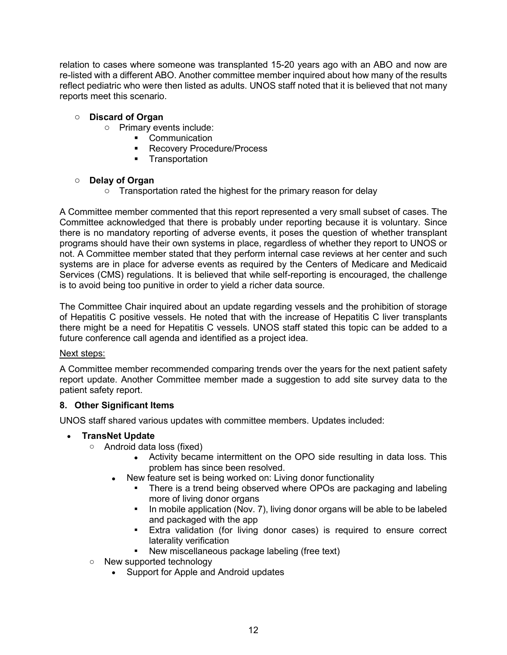relation to cases where someone was transplanted 15-20 years ago with an ABO and now are re-listed with a different ABO. Another committee member inquired about how many of the results reflect pediatric who were then listed as adults. UNOS staff noted that it is believed that not many reports meet this scenario.

# o **Discard of Organ**

- o Primary events include:
	- Communication
	- Recovery Procedure/Process
	- **Transportation**

# o **Delay of Organ**

 $\circ$  Transportation rated the highest for the primary reason for delay

A Committee member commented that this report represented a very small subset of cases. The Committee acknowledged that there is probably under reporting because it is voluntary. Since there is no mandatory reporting of adverse events, it poses the question of whether transplant programs should have their own systems in place, regardless of whether they report to UNOS or not. A Committee member stated that they perform internal case reviews at her center and such systems are in place for adverse events as required by the Centers of Medicare and Medicaid Services (CMS) regulations. It is believed that while self-reporting is encouraged, the challenge is to avoid being too punitive in order to yield a richer data source.

The Committee Chair inquired about an update regarding vessels and the prohibition of storage of Hepatitis C positive vessels. He noted that with the increase of Hepatitis C liver transplants there might be a need for Hepatitis C vessels. UNOS staff stated this topic can be added to a future conference call agenda and identified as a project idea.

### Next steps:

A Committee member recommended comparing trends over the years for the next patient safety report update. Another Committee member made a suggestion to add site survey data to the patient safety report.

### **8. Other Significant Items**

UNOS staff shared various updates with committee members. Updates included:

### **TransNet Update**

- o Android data loss (fixed)
	- Activity became intermittent on the OPO side resulting in data loss. This problem has since been resolved.
	- New feature set is being worked on: Living donor functionality
		- There is a trend being observed where OPOs are packaging and labeling more of living donor organs
		- In mobile application (Nov. 7), living donor organs will be able to be labeled and packaged with the app
		- Extra validation (for living donor cases) is required to ensure correct laterality verification
		- New miscellaneous package labeling (free text)
- o New supported technology
	- Support for Apple and Android updates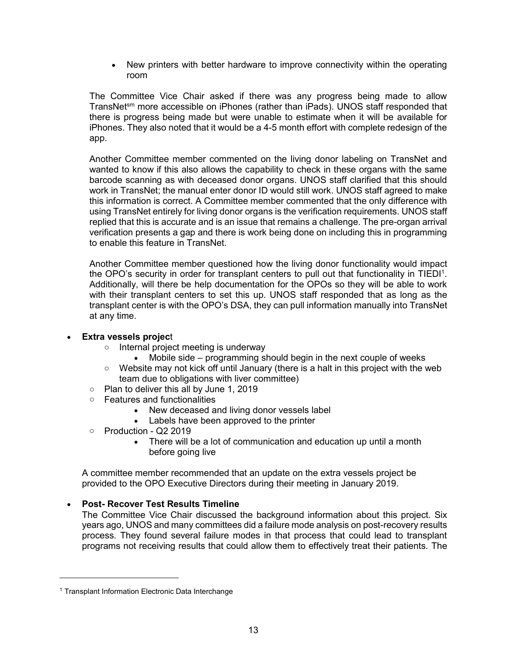New printers with better hardware to improve connectivity within the operating room

The Committee Vice Chair asked if there was any progress being made to allow TransNetsm more accessible on iPhones (rather than iPads). UNOS staff responded that there is progress being made but were unable to estimate when it will be available for iPhones. They also noted that it would be a 4-5 month effort with complete redesign of the app.

Another Committee member commented on the living donor labeling on TransNet and wanted to know if this also allows the capability to check in these organs with the same barcode scanning as with deceased donor organs. UNOS staff clarified that this should work in TransNet; the manual enter donor ID would still work. UNOS staff agreed to make this information is correct. A Committee member commented that the only difference with using TransNet entirely for living donor organs is the verification requirements. UNOS staff replied that this is accurate and is an issue that remains a challenge. The pre-organ arrival verification presents a gap and there is work being done on including this in programming to enable this feature in TransNet.

Another Committee member questioned how the living donor functionality would impact the OPO's security in order for transplant centers to pull out that functionality in TIEDI<sup>1</sup>. Additionally, will there be help documentation for the OPOs so they will be able to work with their transplant centers to set this up. UNOS staff responded that as long as the transplant center is with the OPO's DSA, they can pull information manually into TransNet at any time.

### **Extra vessels projec**t

- o Internal project meeting is underway
	- Mobile side programming should begin in the next couple of weeks
- $\circ$  Website may not kick off until January (there is a halt in this project with the web team due to obligations with liver committee)
- $\circ$  Plan to deliver this all by June 1, 2019
- o Features and functionalities
	- New deceased and living donor vessels label
	- Labels have been approved to the printer
- o Production Q2 2019
	- There will be a lot of communication and education up until a month before going live

A committee member recommended that an update on the extra vessels project be provided to the OPO Executive Directors during their meeting in January 2019.

### **Post- Recover Test Results Timeline**

The Committee Vice Chair discussed the background information about this project. Six years ago, UNOS and many committees did a failure mode analysis on post-recovery results process. They found several failure modes in that process that could lead to transplant programs not receiving results that could allow them to effectively treat their patients. The

 $\overline{a}$ 

<sup>&</sup>lt;sup>1</sup> Transplant Information Electronic Data Interchange